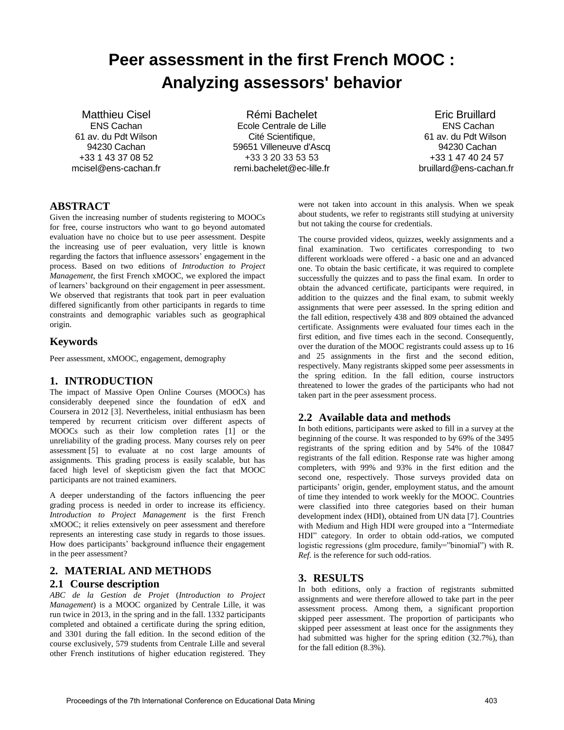# **Peer assessment in the first French MOOC : Analyzing assessors' behavior**

Matthieu Cisel ENS Cachan 61 av. du Pdt Wilson 94230 Cachan +33 1 43 37 08 52 mcisel@ens-cachan.fr

Rémi Bachelet Ecole Centrale de Lille Cité Scientifique, 59651 Villeneuve d'Ascq +33 3 20 33 53 53 remi.bachelet@ec-lille.fr

Eric Bruillard **ENS Cachan** 61 av. du Pdt Wilson a 94230 Cachan +33 1 47 40 24 57 bruillard@ens-cachan.fr

## **ABSTRACT**

Given the increasing number of students registering to MOOCs for free, course instructors who want to go beyond automated evaluation have no choice but to use peer assessment. Despite the increasing use of peer evaluation, very little is known regarding the factors that influence assessors' engagement in the process. Based on two editions of *Introduction to Project Management*, the first French xMOOC, we explored the impact of learners' background on their engagement in peer assessment. We observed that registrants that took part in peer evaluation differed significantly from other participants in regards to time constraints and demographic variables such as geographical origin.

## **Keywords**

Peer assessment, xMOOC, engagement, demography

## **1. INTRODUCTION**

The impact of Massive Open Online Courses (MOOCs) has considerably deepened since the foundation of edX and Coursera in 2012 [3]. Nevertheless, initial enthusiasm has been tempered by recurrent criticism over different aspects of MOOCs such as their low completion rates [1] or the unreliability of the grading process. Many courses rely on peer assessment [5] to evaluate at no cost large amounts of assignments. This grading process is easily scalable, but has faced high level of skepticism given the fact that MOOC participants are not trained examiners.

A deeper understanding of the factors influencing the peer grading process is needed in order to increase its efficiency. *Introduction to Project Management* is the first French xMOOC; it relies extensively on peer assessment and therefore represents an interesting case study in regards to those issues. How does participants' background influence their engagement in the peer assessment?

## **2. MATERIAL AND METHODS 2.1 Course description**

*ABC de la Gestion de Projet* (*Introduction to Project Management*) is a MOOC organized by Centrale Lille, it was run twice in 2013, in the spring and in the fall. 1332 participants completed and obtained a certificate during the spring edition, and 3301 during the fall edition. In the second edition of the course exclusively, 579 students from Centrale Lille and several other French institutions of higher education registered. They were not taken into account in this analysis. When we speak about students, we refer to registrants still studying at university but not taking the course for credentials.

The course provided videos, quizzes, weekly assignments and a final examination. Two certificates corresponding to two different workloads were offered - a basic one and an advanced one. To obtain the basic certificate, it was required to complete successfully the quizzes and to pass the final exam. In order to obtain the advanced certificate, participants were required, in addition to the quizzes and the final exam, to submit weekly assignments that were peer assessed. In the spring edition and the fall edition, respectively 438 and 809 obtained the advanced certificate. Assignments were evaluated four times each in the first edition, and five times each in the second. Consequently, over the duration of the MOOC registrants could assess up to 16 and 25 assignments in the first and the second edition, respectively. Many registrants skipped some peer assessments in the spring edition. In the fall edition, course instructors threatened to lower the grades of the participants who had not taken part in the peer assessment process.

## **2.2 Available data and methods**

In both editions, participants were asked to fill in a survey at the beginning of the course. It was responded to by 69% of the 3495 registrants of the spring edition and by 54% of the 10847 registrants of the fall edition. Response rate was higher among completers, with 99% and 93% in the first edition and the second one, respectively. Those surveys provided data on participants' origin, gender, employment status, and the amount of time they intended to work weekly for the MOOC. Countries were classified into three categories based on their human development index (HDI), obtained from UN data [7]. Countries with Medium and High HDI were grouped into a "Intermediate HDI" category. In order to obtain odd-ratios, we computed logistic regressions (glm procedure, family="binomial") with R. *Ref.* is the reference for such odd-ratios.

## **3. RESULTS**

In both editions, only a fraction of registrants submitted assignments and were therefore allowed to take part in the peer assessment process. Among them, a significant proportion skipped peer assessment. The proportion of participants who skipped peer assessment at least once for the assignments they had submitted was higher for the spring edition (32.7%), than for the fall edition (8.3%).